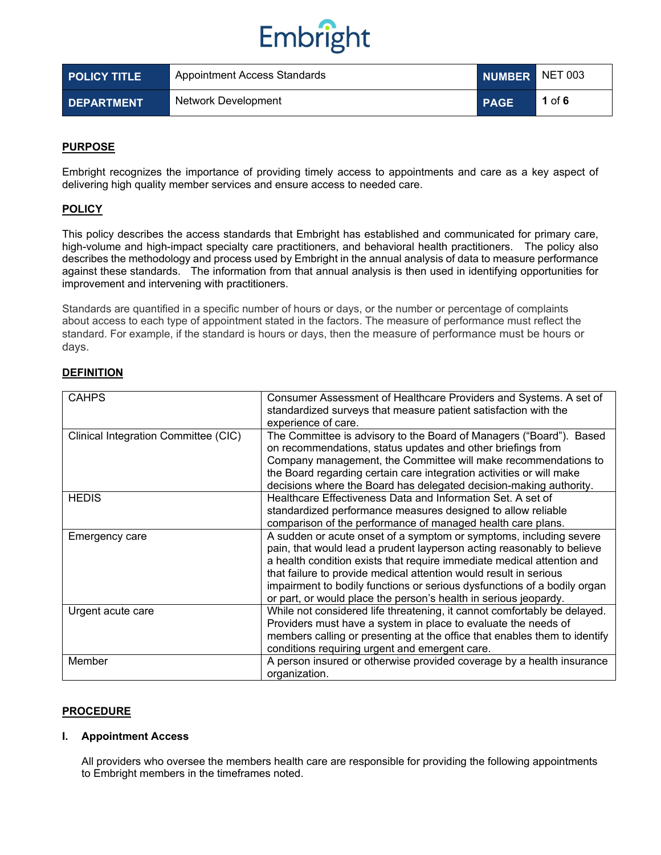| <b>POLICY TITLE</b> | Appointment Access Standards | NUMBER NET 003 |          |
|---------------------|------------------------------|----------------|----------|
| <b>DEPARTMENT</b>   | Network Development          | <b>PAGE</b>    | 1 of $6$ |

## **PURPOSE**

Embright recognizes the importance of providing timely access to appointments and care as a key aspect of delivering high quality member services and ensure access to needed care.

## **POLICY**

This policy describes the access standards that Embright has established and communicated for primary care, high-volume and high-impact specialty care practitioners, and behavioral health practitioners. The policy also describes the methodology and process used by Embright in the annual analysis of data to measure performance against these standards. The information from that annual analysis is then used in identifying opportunities for improvement and intervening with practitioners.

Standards are quantified in a specific number of hours or days, or the number or percentage of complaints about access to each type of appointment stated in the factors. The measure of performance must reflect the standard. For example, if the standard is hours or days, then the measure of performance must be hours or days.

## **DEFINITION**

| <b>CAHPS</b>                         | Consumer Assessment of Healthcare Providers and Systems. A set of<br>standardized surveys that measure patient satisfaction with the<br>experience of care.                                                                                                                                                                                                                                                                                 |
|--------------------------------------|---------------------------------------------------------------------------------------------------------------------------------------------------------------------------------------------------------------------------------------------------------------------------------------------------------------------------------------------------------------------------------------------------------------------------------------------|
| Clinical Integration Committee (CIC) | The Committee is advisory to the Board of Managers ("Board"). Based<br>on recommendations, status updates and other briefings from<br>Company management, the Committee will make recommendations to<br>the Board regarding certain care integration activities or will make<br>decisions where the Board has delegated decision-making authority.                                                                                          |
| <b>HEDIS</b>                         | Healthcare Effectiveness Data and Information Set. A set of<br>standardized performance measures designed to allow reliable<br>comparison of the performance of managed health care plans.                                                                                                                                                                                                                                                  |
| Emergency care                       | A sudden or acute onset of a symptom or symptoms, including severe<br>pain, that would lead a prudent layperson acting reasonably to believe<br>a health condition exists that require immediate medical attention and<br>that failure to provide medical attention would result in serious<br>impairment to bodily functions or serious dysfunctions of a bodily organ<br>or part, or would place the person's health in serious jeopardy. |
| Urgent acute care                    | While not considered life threatening, it cannot comfortably be delayed.<br>Providers must have a system in place to evaluate the needs of<br>members calling or presenting at the office that enables them to identify<br>conditions requiring urgent and emergent care.                                                                                                                                                                   |
| Member                               | A person insured or otherwise provided coverage by a health insurance<br>organization.                                                                                                                                                                                                                                                                                                                                                      |

#### **PROCEDURE**

#### **I. Appointment Access**

All providers who oversee the members health care are responsible for providing the following appointments to Embright members in the timeframes noted.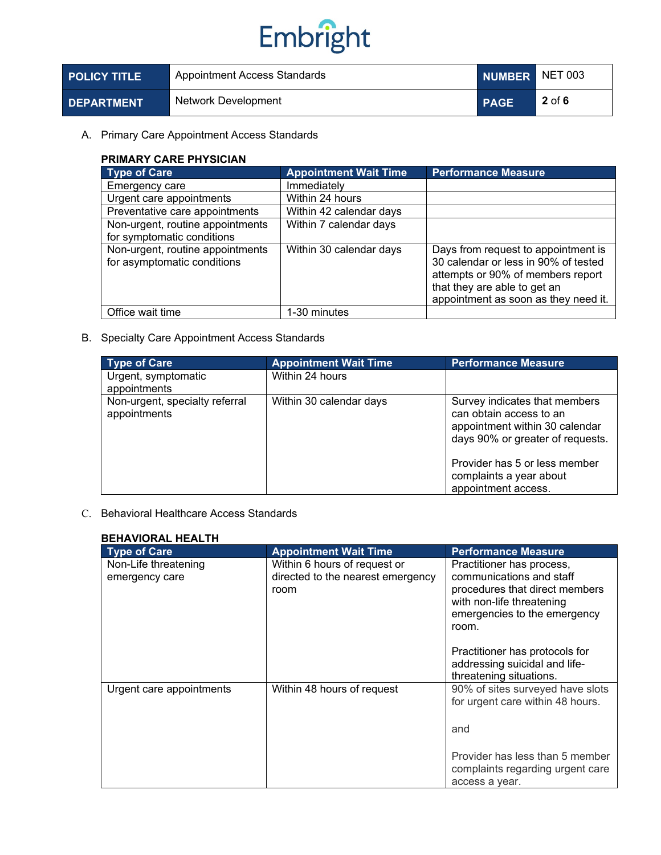| <b>POLICY TITLE</b> | Appointment Access Standards | NUMBER NET 003 |          |
|---------------------|------------------------------|----------------|----------|
| <b>DEPARTMENT</b>   | Network Development          | <b>PAGE</b>    | $2$ of 6 |

## A. Primary Care Appointment Access Standards

## **PRIMARY CARE PHYSICIAN**

| <b>Type of Care</b>                                             | <b>Appointment Wait Time</b> | <b>Performance Measure</b>                                                                                                                                                               |
|-----------------------------------------------------------------|------------------------------|------------------------------------------------------------------------------------------------------------------------------------------------------------------------------------------|
| Emergency care                                                  | Immediately                  |                                                                                                                                                                                          |
| Urgent care appointments                                        | Within 24 hours              |                                                                                                                                                                                          |
| Preventative care appointments                                  | Within 42 calendar days      |                                                                                                                                                                                          |
| Non-urgent, routine appointments<br>for symptomatic conditions  | Within 7 calendar days       |                                                                                                                                                                                          |
| Non-urgent, routine appointments<br>for asymptomatic conditions | Within 30 calendar days      | Days from request to appointment is<br>30 calendar or less in 90% of tested<br>attempts or 90% of members report<br>that they are able to get an<br>appointment as soon as they need it. |
| Office wait time                                                | 1-30 minutes                 |                                                                                                                                                                                          |

## B. Specialty Care Appointment Access Standards

| <b>Type of Care</b>                            | <b>Appointment Wait Time</b> | <b>Performance Measure</b>                                                                                                     |
|------------------------------------------------|------------------------------|--------------------------------------------------------------------------------------------------------------------------------|
| Urgent, symptomatic<br>appointments            | Within 24 hours              |                                                                                                                                |
| Non-urgent, specialty referral<br>appointments | Within 30 calendar days      | Survey indicates that members<br>can obtain access to an<br>appointment within 30 calendar<br>days 90% or greater of requests. |
|                                                |                              | Provider has 5 or less member<br>complaints a year about<br>appointment access.                                                |

## C. Behavioral Healthcare Access Standards

| <b>BEHAVIORAL HEALTH</b>               |                                                                           |                                                                                                                                                               |
|----------------------------------------|---------------------------------------------------------------------------|---------------------------------------------------------------------------------------------------------------------------------------------------------------|
| <b>Type of Care</b>                    | <b>Appointment Wait Time</b>                                              | <b>Performance Measure</b>                                                                                                                                    |
| Non-Life threatening<br>emergency care | Within 6 hours of request or<br>directed to the nearest emergency<br>room | Practitioner has process,<br>communications and staff<br>procedures that direct members<br>with non-life threatening<br>emergencies to the emergency<br>room. |
|                                        |                                                                           | Practitioner has protocols for<br>addressing suicidal and life-<br>threatening situations.                                                                    |
| Urgent care appointments               | Within 48 hours of request                                                | 90% of sites surveyed have slots<br>for urgent care within 48 hours.                                                                                          |
|                                        |                                                                           | and                                                                                                                                                           |
|                                        |                                                                           | Provider has less than 5 member<br>complaints regarding urgent care<br>access a year.                                                                         |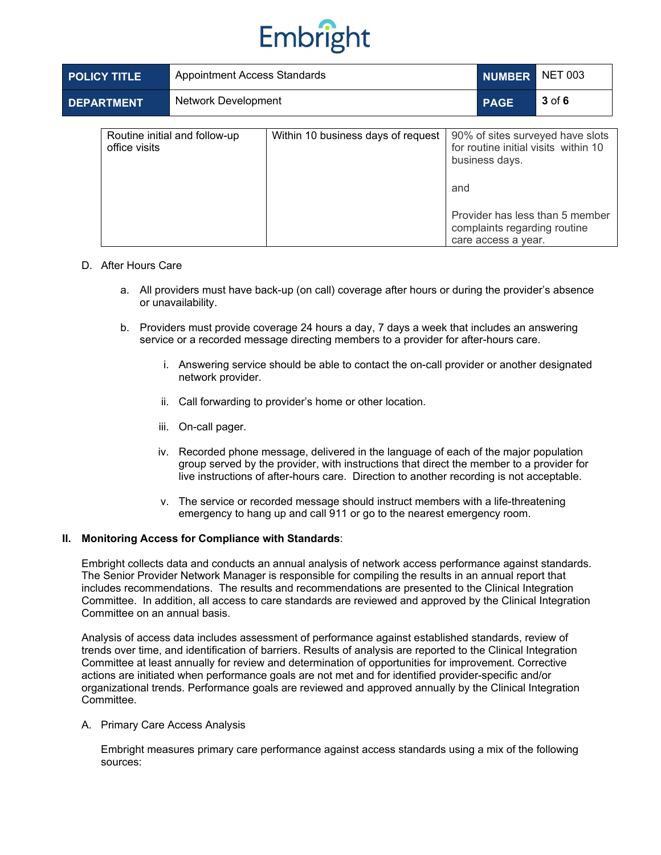

| <b>POLICY TITLE</b> | Appointment Access Standards  |                                    | <b>NUMBER</b> | <b>NET 003</b>                                                        |                                                                                                             |
|---------------------|-------------------------------|------------------------------------|---------------|-----------------------------------------------------------------------|-------------------------------------------------------------------------------------------------------------|
| <b>DEPARTMENT</b>   | <b>Network Development</b>    |                                    |               | <b>PAGE</b>                                                           | $3$ of 6                                                                                                    |
| office visits       | Routine initial and follow-up | Within 10 business days of request | and           | business days.<br>complaints regarding routine<br>care access a year. | 90% of sites surveyed have slots<br>for routine initial visits within 10<br>Provider has less than 5 member |

#### D. After Hours Care

- a. All providers must have back-up (on call) coverage after hours or during the provider's absence or unavailability.
- b. Providers must provide coverage 24 hours a day, 7 days a week that includes an answering service or a recorded message directing members to a provider for after-hours care.
	- i. Answering service should be able to contact the on-call provider or another designated network provider.
	- ii. Call forwarding to provider's home or other location.
	- iii. On-call pager.
	- iv. Recorded phone message, delivered in the language of each of the major population group served by the provider, with instructions that direct the member to a provider for live instructions of after-hours care. Direction to another recording is not acceptable.
	- v. The service or recorded message should instruct members with a life-threatening emergency to hang up and call 911 or go to the nearest emergency room.

#### **II. Monitoring Access for Compliance with Standards**:

Embright collects data and conducts an annual analysis of network access performance against standards. The Senior Provider Network Manager is responsible for compiling the results in an annual report that includes recommendations. The results and recommendations are presented to the Clinical Integration Committee. In addition, all access to care standards are reviewed and approved by the Clinical Integration Committee on an annual basis.

Analysis of access data includes assessment of performance against established standards, review of trends over time, and identification of barriers. Results of analysis are reported to the Clinical Integration Committee at least annually for review and determination of opportunities for improvement. Corrective actions are initiated when performance goals are not met and for identified provider-specific and/or organizational trends. Performance goals are reviewed and approved annually by the Clinical Integration **Committee.** 

#### A. Primary Care Access Analysis

Embright measures primary care performance against access standards using a mix of the following sources: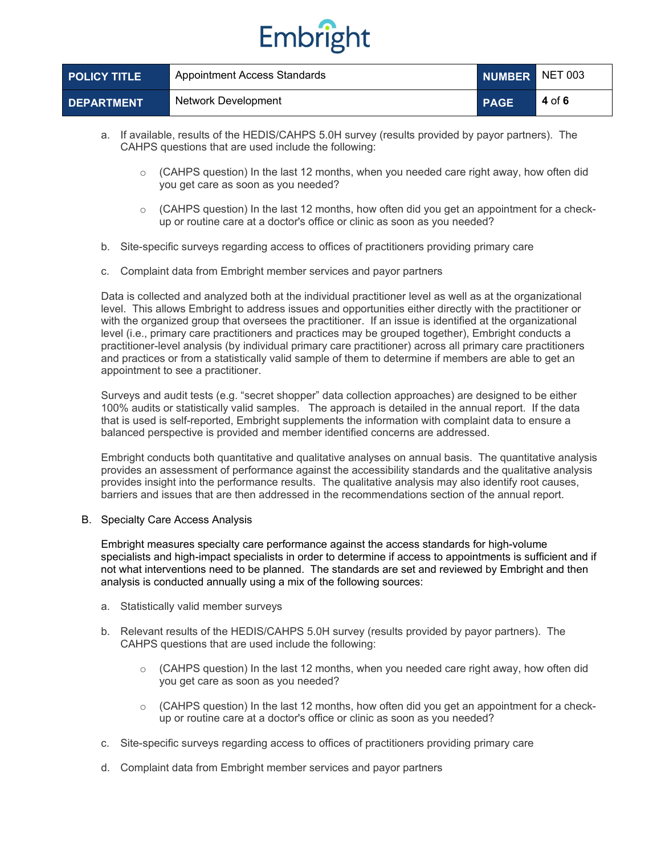| <b>POLICY TITLE</b> | Appointment Access Standards |             | NUMBER NET 003 |
|---------------------|------------------------------|-------------|----------------|
| <b>DEPARTMENT</b>   | Network Development          | <b>PAGE</b> | 4 of 6         |

- a. If available, results of the HEDIS/CAHPS 5.0H survey (results provided by payor partners). The CAHPS questions that are used include the following:
	- $\circ$  (CAHPS question) In the last 12 months, when you needed care right away, how often did you get care as soon as you needed?
	- $\circ$  (CAHPS question) In the last 12 months, how often did you get an appointment for a checkup or routine care at a doctor's office or clinic as soon as you needed?
- b. Site-specific surveys regarding access to offices of practitioners providing primary care
- c. Complaint data from Embright member services and payor partners

Data is collected and analyzed both at the individual practitioner level as well as at the organizational level. This allows Embright to address issues and opportunities either directly with the practitioner or with the organized group that oversees the practitioner. If an issue is identified at the organizational level (i.e., primary care practitioners and practices may be grouped together), Embright conducts a practitioner-level analysis (by individual primary care practitioner) across all primary care practitioners and practices or from a statistically valid sample of them to determine if members are able to get an appointment to see a practitioner.

Surveys and audit tests (e.g. "secret shopper" data collection approaches) are designed to be either 100% audits or statistically valid samples. The approach is detailed in the annual report. If the data that is used is self-reported, Embright supplements the information with complaint data to ensure a balanced perspective is provided and member identified concerns are addressed.

Embright conducts both quantitative and qualitative analyses on annual basis. The quantitative analysis provides an assessment of performance against the accessibility standards and the qualitative analysis provides insight into the performance results. The qualitative analysis may also identify root causes, barriers and issues that are then addressed in the recommendations section of the annual report.

B. Specialty Care Access Analysis

Embright measures specialty care performance against the access standards for high-volume specialists and high-impact specialists in order to determine if access to appointments is sufficient and if not what interventions need to be planned. The standards are set and reviewed by Embright and then analysis is conducted annually using a mix of the following sources:

- a. Statistically valid member surveys
- b. Relevant results of the HEDIS/CAHPS 5.0H survey (results provided by payor partners). The CAHPS questions that are used include the following:
	- $\circ$  (CAHPS question) In the last 12 months, when you needed care right away, how often did you get care as soon as you needed?
	- o (CAHPS question) In the last 12 months, how often did you get an appointment for a checkup or routine care at a doctor's office or clinic as soon as you needed?
- c. Site-specific surveys regarding access to offices of practitioners providing primary care
- d. Complaint data from Embright member services and payor partners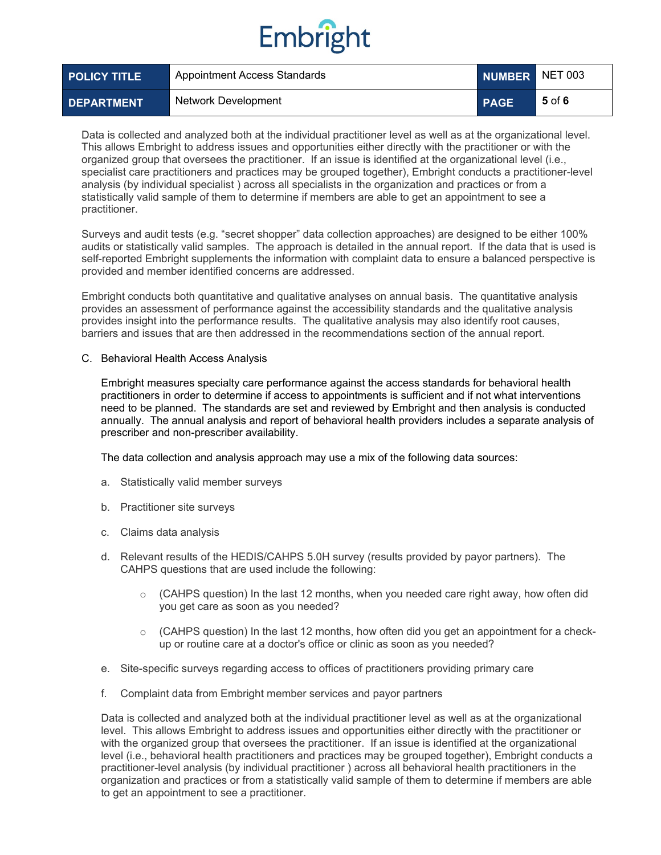| <b>POLICY TITLE</b> | Appointment Access Standards | NUMBER NET 003 |        |
|---------------------|------------------------------|----------------|--------|
| <b>DEPARTMENT</b>   | Network Development          | <b>PAGE</b>    | 5 of 6 |

Data is collected and analyzed both at the individual practitioner level as well as at the organizational level. This allows Embright to address issues and opportunities either directly with the practitioner or with the organized group that oversees the practitioner. If an issue is identified at the organizational level (i.e., specialist care practitioners and practices may be grouped together), Embright conducts a practitioner-level analysis (by individual specialist ) across all specialists in the organization and practices or from a statistically valid sample of them to determine if members are able to get an appointment to see a practitioner.

Surveys and audit tests (e.g. "secret shopper" data collection approaches) are designed to be either 100% audits or statistically valid samples. The approach is detailed in the annual report. If the data that is used is self-reported Embright supplements the information with complaint data to ensure a balanced perspective is provided and member identified concerns are addressed.

Embright conducts both quantitative and qualitative analyses on annual basis. The quantitative analysis provides an assessment of performance against the accessibility standards and the qualitative analysis provides insight into the performance results. The qualitative analysis may also identify root causes, barriers and issues that are then addressed in the recommendations section of the annual report.

#### C. Behavioral Health Access Analysis

Embright measures specialty care performance against the access standards for behavioral health practitioners in order to determine if access to appointments is sufficient and if not what interventions need to be planned. The standards are set and reviewed by Embright and then analysis is conducted annually. The annual analysis and report of behavioral health providers includes a separate analysis of prescriber and non-prescriber availability.

The data collection and analysis approach may use a mix of the following data sources:

- a. Statistically valid member surveys
- b. Practitioner site surveys
- c. Claims data analysis
- d. Relevant results of the HEDIS/CAHPS 5.0H survey (results provided by payor partners). The CAHPS questions that are used include the following:
	- $\circ$  (CAHPS question) In the last 12 months, when you needed care right away, how often did you get care as soon as you needed?
	- $\circ$  (CAHPS question) In the last 12 months, how often did you get an appointment for a checkup or routine care at a doctor's office or clinic as soon as you needed?
- e. Site-specific surveys regarding access to offices of practitioners providing primary care
- f. Complaint data from Embright member services and payor partners

Data is collected and analyzed both at the individual practitioner level as well as at the organizational level. This allows Embright to address issues and opportunities either directly with the practitioner or with the organized group that oversees the practitioner. If an issue is identified at the organizational level (i.e., behavioral health practitioners and practices may be grouped together), Embright conducts a practitioner-level analysis (by individual practitioner ) across all behavioral health practitioners in the organization and practices or from a statistically valid sample of them to determine if members are able to get an appointment to see a practitioner.